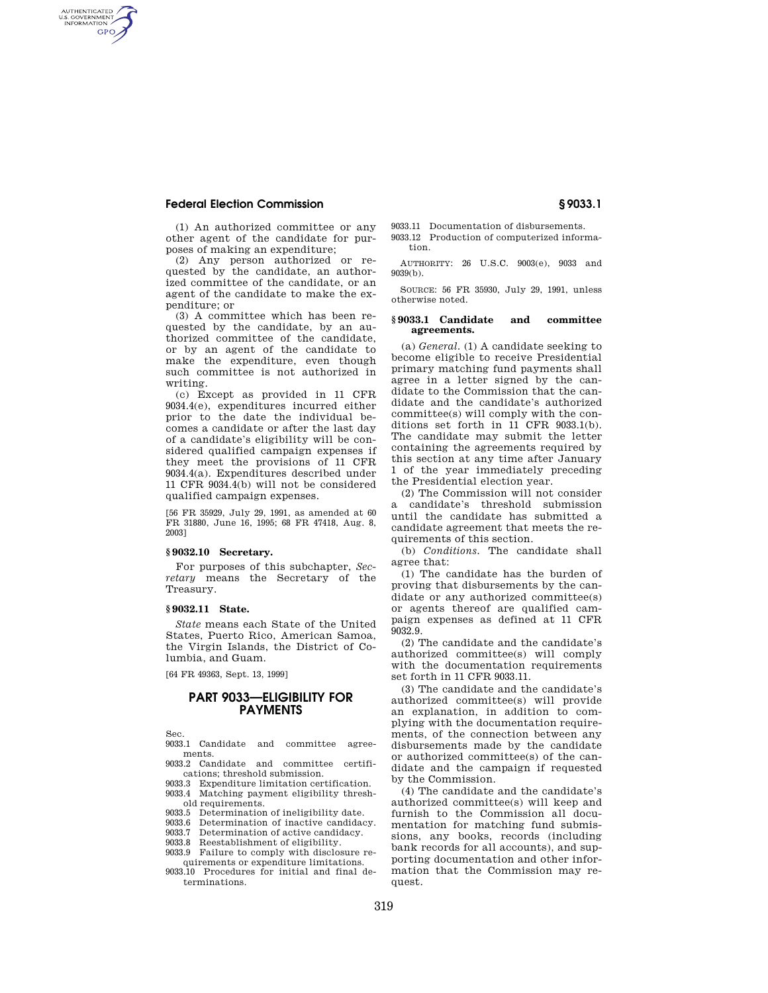AUTHENTICATED<br>U.S. GOVERNMENT<br>INFORMATION GPO

> (1) An authorized committee or any other agent of the candidate for purposes of making an expenditure;

(2) Any person authorized or requested by the candidate, an authorized committee of the candidate, or an agent of the candidate to make the expenditure; or

(3) A committee which has been requested by the candidate, by an authorized committee of the candidate, or by an agent of the candidate to make the expenditure, even though such committee is not authorized in writing.

(c) Except as provided in 11 CFR 9034.4(e), expenditures incurred either prior to the date the individual becomes a candidate or after the last day of a candidate's eligibility will be considered qualified campaign expenses if they meet the provisions of 11 CFR 9034.4(a). Expenditures described under 11 CFR 9034.4(b) will not be considered qualified campaign expenses.

[56 FR 35929, July 29, 1991, as amended at 60 FR 31880, June 16, 1995; 68 FR 47418, Aug. 8, 2003]

## **§ 9032.10 Secretary.**

For purposes of this subchapter, *Secretary* means the Secretary of the Treasury.

### **§ 9032.11 State.**

*State* means each State of the United States, Puerto Rico, American Samoa, the Virgin Islands, the District of Columbia, and Guam.

[64 FR 49363, Sept. 13, 1999]

# **PART 9033—ELIGIBILITY FOR PAYMENTS**

Sec.<br>9033.1 Candidate and committee agreements.

- 9033.2 Candidate and committee certifications; threshold submission.
- 9033.3 Expenditure limitation certification. 9033.4 Matching payment eligibility thresh-
- old requirements.
- 9033.5 Determination of ineligibility date. 9033.6 Determination of inactive candidacy.
- 9033.7 Determination of active candidacy.
- 9033.8 Reestablishment of eligibility.
- 9033.9 Failure to comply with disclosure requirements or expenditure limitations.
- 9033.10 Procedures for initial and final determinations.

9033.11 Documentation of disbursements. 9033.12 Production of computerized informa-

tion.

AUTHORITY: 26 U.S.C. 9003(e), 9033 and 9039(b).

SOURCE: 56 FR 35930, July 29, 1991, unless otherwise noted.

#### **§ 9033.1 Candidate and committee agreements.**

(a) *General.* (1) A candidate seeking to become eligible to receive Presidential primary matching fund payments shall agree in a letter signed by the candidate to the Commission that the candidate and the candidate's authorized committee(s) will comply with the conditions set forth in 11 CFR 9033.1(b). The candidate may submit the letter containing the agreements required by this section at any time after January 1 of the year immediately preceding the Presidential election year.

(2) The Commission will not consider a candidate's threshold submission until the candidate has submitted a candidate agreement that meets the requirements of this section.

(b) *Conditions.* The candidate shall agree that:

(1) The candidate has the burden of proving that disbursements by the candidate or any authorized committee(s) or agents thereof are qualified campaign expenses as defined at 11 CFR 9032.9.

(2) The candidate and the candidate's authorized committee(s) will comply with the documentation requirements set forth in 11 CFR 9033.11.

(3) The candidate and the candidate's authorized committee(s) will provide an explanation, in addition to complying with the documentation requirements, of the connection between any disbursements made by the candidate or authorized committee(s) of the candidate and the campaign if requested by the Commission.

(4) The candidate and the candidate's authorized committee(s) will keep and furnish to the Commission all documentation for matching fund submissions, any books, records (including bank records for all accounts), and supporting documentation and other information that the Commission may request.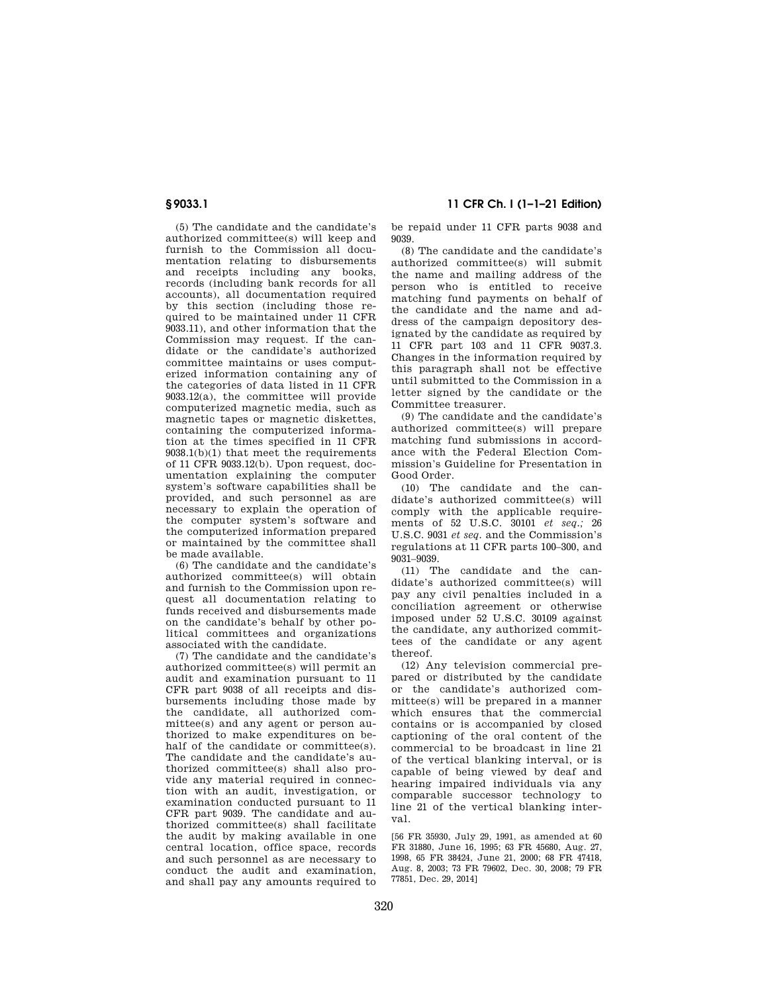(5) The candidate and the candidate's authorized committee(s) will keep and furnish to the Commission all documentation relating to disbursements and receipts including any books, records (including bank records for all accounts), all documentation required by this section (including those required to be maintained under 11 CFR 9033.11), and other information that the Commission may request. If the candidate or the candidate's authorized committee maintains or uses computerized information containing any of the categories of data listed in 11 CFR 9033.12(a), the committee will provide computerized magnetic media, such as magnetic tapes or magnetic diskettes, containing the computerized information at the times specified in 11 CFR 9038.1(b)(1) that meet the requirements of 11 CFR 9033.12(b). Upon request, documentation explaining the computer system's software capabilities shall be provided, and such personnel as are necessary to explain the operation of the computer system's software and the computerized information prepared or maintained by the committee shall be made available.

(6) The candidate and the candidate's authorized committee(s) will obtain and furnish to the Commission upon request all documentation relating to funds received and disbursements made on the candidate's behalf by other political committees and organizations associated with the candidate.

(7) The candidate and the candidate's authorized committee(s) will permit an audit and examination pursuant to 11 CFR part 9038 of all receipts and disbursements including those made by the candidate, all authorized committee(s) and any agent or person authorized to make expenditures on behalf of the candidate or committee(s). The candidate and the candidate's authorized committee(s) shall also provide any material required in connection with an audit, investigation, or examination conducted pursuant to 11 CFR part 9039. The candidate and authorized committee(s) shall facilitate the audit by making available in one central location, office space, records and such personnel as are necessary to conduct the audit and examination, and shall pay any amounts required to

**§ 9033.1 11 CFR Ch. I (1–1–21 Edition)** 

be repaid under 11 CFR parts 9038 and 9039.

(8) The candidate and the candidate's authorized committee(s) will submit the name and mailing address of the person who is entitled to receive matching fund payments on behalf of the candidate and the name and address of the campaign depository designated by the candidate as required by 11 CFR part 103 and 11 CFR 9037.3. Changes in the information required by this paragraph shall not be effective until submitted to the Commission in a letter signed by the candidate or the Committee treasurer.

(9) The candidate and the candidate's authorized committee(s) will prepare matching fund submissions in accordance with the Federal Election Commission's Guideline for Presentation in Good Order.

(10) The candidate and the candidate's authorized committee(s) will comply with the applicable requirements of 52 U.S.C. 30101 *et seq.;* 26 U.S.C. 9031 *et seq.* and the Commission's regulations at 11 CFR parts 100–300, and 9031–9039.

(11) The candidate and the candidate's authorized committee(s) will pay any civil penalties included in a conciliation agreement or otherwise imposed under 52 U.S.C. 30109 against the candidate, any authorized committees of the candidate or any agent thereof.

(12) Any television commercial prepared or distributed by the candidate or the candidate's authorized committee(s) will be prepared in a manner which ensures that the commercial contains or is accompanied by closed captioning of the oral content of the commercial to be broadcast in line 21 of the vertical blanking interval, or is capable of being viewed by deaf and hearing impaired individuals via any comparable successor technology to line 21 of the vertical blanking interval.

[56 FR 35930, July 29, 1991, as amended at 60 FR 31880, June 16, 1995; 63 FR 45680, Aug. 27, 1998, 65 FR 38424, June 21, 2000; 68 FR 47418, Aug. 8, 2003; 73 FR 79602, Dec. 30, 2008; 79 FR 77851, Dec. 29, 2014]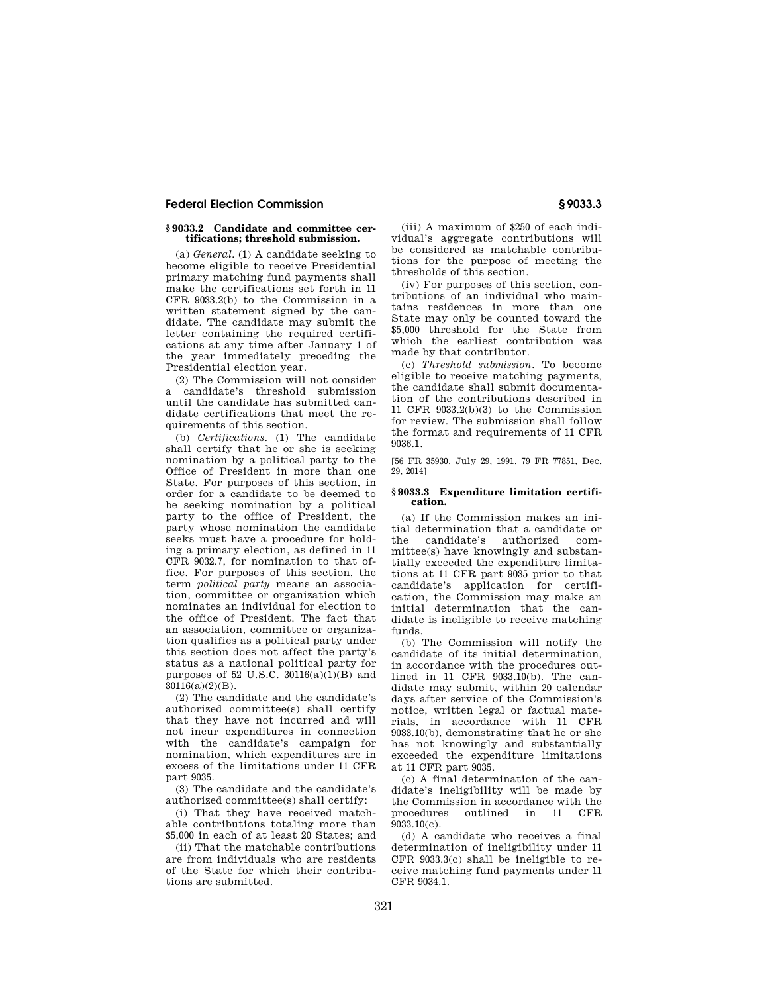### **§ 9033.2 Candidate and committee certifications; threshold submission.**

(a) *General.* (1) A candidate seeking to become eligible to receive Presidential primary matching fund payments shall make the certifications set forth in 11 CFR 9033.2(b) to the Commission in a written statement signed by the candidate. The candidate may submit the letter containing the required certifications at any time after January 1 of the year immediately preceding the Presidential election year.

(2) The Commission will not consider a candidate's threshold submission until the candidate has submitted candidate certifications that meet the requirements of this section.

(b) *Certifications.* (1) The candidate shall certify that he or she is seeking nomination by a political party to the Office of President in more than one State. For purposes of this section, in order for a candidate to be deemed to be seeking nomination by a political party to the office of President, the party whose nomination the candidate seeks must have a procedure for holding a primary election, as defined in 11 CFR 9032.7, for nomination to that office. For purposes of this section, the term *political party* means an association, committee or organization which nominates an individual for election to the office of President. The fact that an association, committee or organization qualifies as a political party under this section does not affect the party's status as a national political party for purposes of 52 U.S.C.  $30116(a)(1)(B)$  and 30116(a)(2)(B).

(2) The candidate and the candidate's authorized committee(s) shall certify that they have not incurred and will not incur expenditures in connection with the candidate's campaign for nomination, which expenditures are in excess of the limitations under 11 CFR part 9035.

(3) The candidate and the candidate's authorized committee(s) shall certify:

(i) That they have received matchable contributions totaling more than \$5,000 in each of at least 20 States; and

(ii) That the matchable contributions are from individuals who are residents of the State for which their contributions are submitted.

(iii) A maximum of \$250 of each individual's aggregate contributions will be considered as matchable contributions for the purpose of meeting the thresholds of this section.

(iv) For purposes of this section, contributions of an individual who maintains residences in more than one State may only be counted toward the \$5,000 threshold for the State from which the earliest contribution was made by that contributor.

(c) *Threshold submission.* To become eligible to receive matching payments, the candidate shall submit documentation of the contributions described in 11 CFR 9033.2(b)(3) to the Commission for review. The submission shall follow the format and requirements of 11 CFR 9036.1.

[56 FR 35930, July 29, 1991, 79 FR 77851, Dec. 29, 2014]

#### **§ 9033.3 Expenditure limitation certification.**

(a) If the Commission makes an initial determination that a candidate or the candidate's authorized committee(s) have knowingly and substantially exceeded the expenditure limitations at 11 CFR part 9035 prior to that candidate's application for certification, the Commission may make an initial determination that the candidate is ineligible to receive matching funds.

(b) The Commission will notify the candidate of its initial determination, in accordance with the procedures outlined in 11 CFR 9033.10(b). The candidate may submit, within 20 calendar days after service of the Commission's notice, written legal or factual materials, in accordance with 11 CFR 9033.10(b), demonstrating that he or she has not knowingly and substantially exceeded the expenditure limitations at 11 CFR part 9035.

(c) A final determination of the candidate's ineligibility will be made by the Commission in accordance with the procedures outlined in 11 CFR  $9033.10(c)$ .

(d) A candidate who receives a final determination of ineligibility under 11 CFR 9033.3(c) shall be ineligible to receive matching fund payments under 11 CFR 9034.1.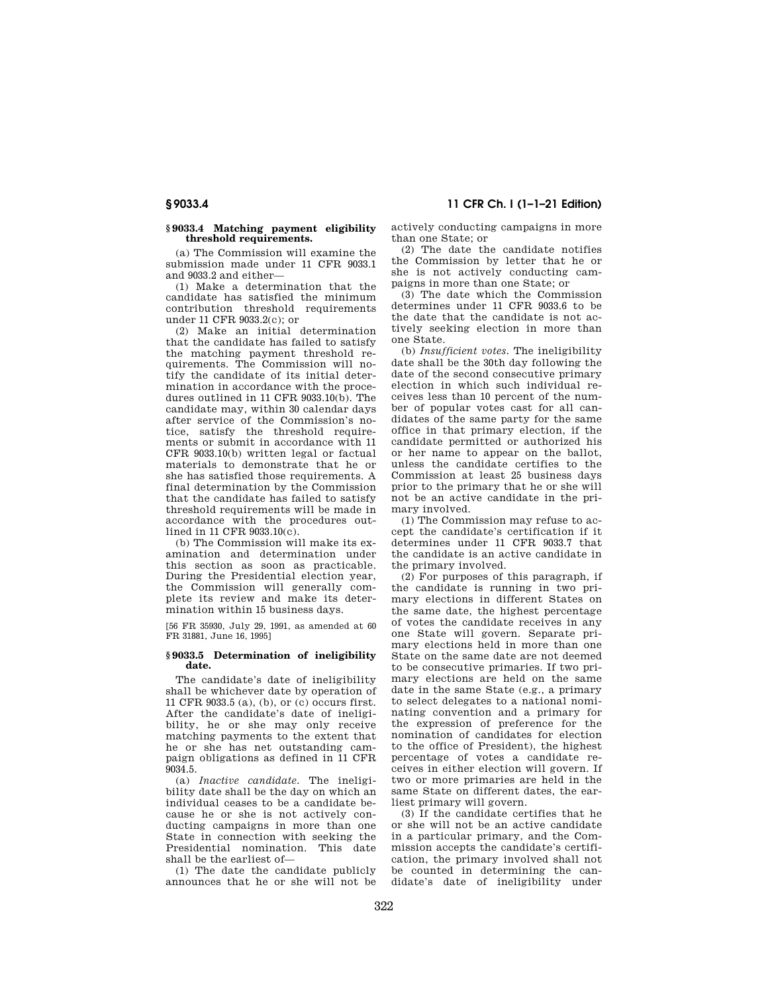# **§ 9033.4 11 CFR Ch. I (1–1–21 Edition)**

#### **§ 9033.4 Matching payment eligibility threshold requirements.**

(a) The Commission will examine the submission made under 11 CFR 9033.1 and 9033.2 and either—

(1) Make a determination that the candidate has satisfied the minimum contribution threshold requirements under 11 CFR 9033.2(c); or

(2) Make an initial determination that the candidate has failed to satisfy the matching payment threshold requirements. The Commission will notify the candidate of its initial determination in accordance with the procedures outlined in 11 CFR 9033.10(b). The candidate may, within 30 calendar days after service of the Commission's notice, satisfy the threshold requirements or submit in accordance with 11 CFR 9033.10(b) written legal or factual materials to demonstrate that he or she has satisfied those requirements. A final determination by the Commission that the candidate has failed to satisfy threshold requirements will be made in accordance with the procedures outlined in 11 CFR 9033.10(c).

(b) The Commission will make its examination and determination under this section as soon as practicable. During the Presidential election year, the Commission will generally complete its review and make its determination within 15 business days.

[56 FR 35930, July 29, 1991, as amended at 60 FR 31881, June 16, 1995]

#### **§ 9033.5 Determination of ineligibility date.**

The candidate's date of ineligibility shall be whichever date by operation of 11 CFR 9033.5 (a), (b), or (c) occurs first. After the candidate's date of ineligibility, he or she may only receive matching payments to the extent that he or she has net outstanding campaign obligations as defined in 11 CFR  $9034.5.$ 

(a) *Inactive candidate.* The ineligibility date shall be the day on which an individual ceases to be a candidate because he or she is not actively conducting campaigns in more than one State in connection with seeking the Presidential nomination. This date shall be the earliest of—

(1) The date the candidate publicly announces that he or she will not be actively conducting campaigns in more than one State; or

(2) The date the candidate notifies the Commission by letter that he or she is not actively conducting campaigns in more than one State; or

(3) The date which the Commission determines under 11 CFR 9033.6 to be the date that the candidate is not actively seeking election in more than one State.

(b) *Insufficient votes.* The ineligibility date shall be the 30th day following the date of the second consecutive primary election in which such individual receives less than 10 percent of the number of popular votes cast for all candidates of the same party for the same office in that primary election, if the candidate permitted or authorized his or her name to appear on the ballot, unless the candidate certifies to the Commission at least 25 business days prior to the primary that he or she will not be an active candidate in the primary involved.

(1) The Commission may refuse to accept the candidate's certification if it determines under 11 CFR 9033.7 that the candidate is an active candidate in the primary involved.

(2) For purposes of this paragraph, if the candidate is running in two primary elections in different States on the same date, the highest percentage of votes the candidate receives in any one State will govern. Separate primary elections held in more than one State on the same date are not deemed to be consecutive primaries. If two primary elections are held on the same date in the same State (e.g., a primary to select delegates to a national nominating convention and a primary for the expression of preference for the nomination of candidates for election to the office of President), the highest percentage of votes a candidate receives in either election will govern. If two or more primaries are held in the same State on different dates, the earliest primary will govern.

(3) If the candidate certifies that he or she will not be an active candidate in a particular primary, and the Commission accepts the candidate's certification, the primary involved shall not be counted in determining the candidate's date of ineligibility under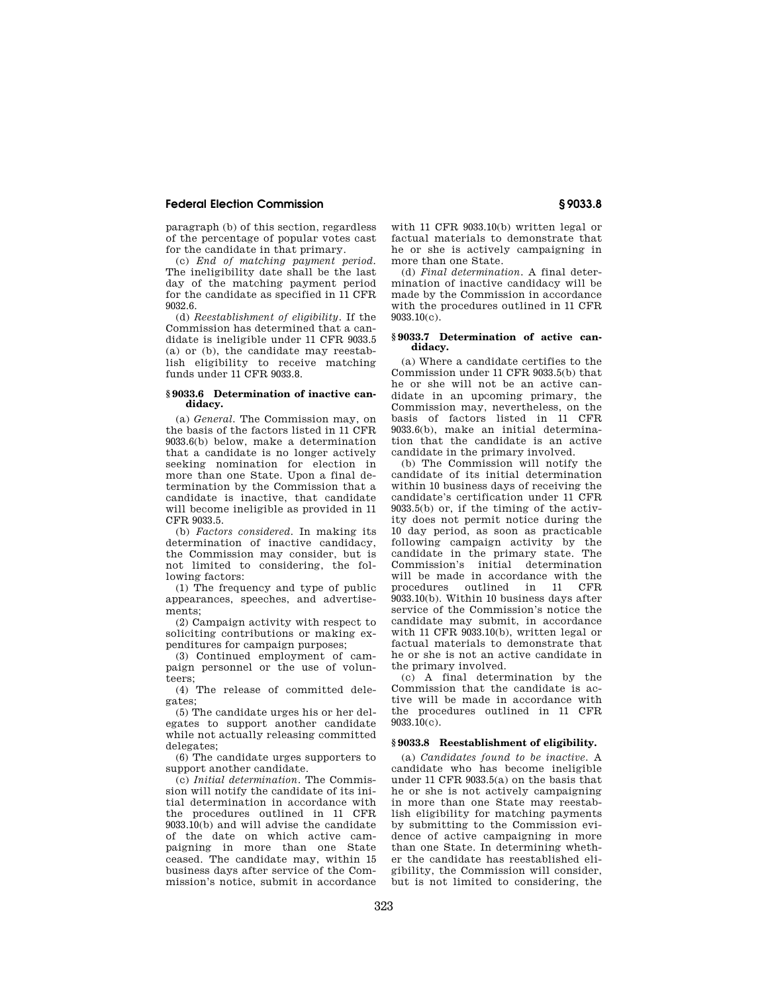paragraph (b) of this section, regardless of the percentage of popular votes cast for the candidate in that primary.

(c) *End of matching payment period.*  The ineligibility date shall be the last day of the matching payment period for the candidate as specified in 11 CFR 9032.6.

(d) *Reestablishment of eligibility.* If the Commission has determined that a candidate is ineligible under 11 CFR 9033.5 (a) or (b), the candidate may reestablish eligibility to receive matching funds under 11 CFR 9033.8.

#### **§ 9033.6 Determination of inactive candidacy.**

(a) *General.* The Commission may, on the basis of the factors listed in 11 CFR 9033.6(b) below, make a determination that a candidate is no longer actively seeking nomination for election in more than one State. Upon a final determination by the Commission that a candidate is inactive, that candidate will become ineligible as provided in 11 CFR 9033.5.

(b) *Factors considered.* In making its determination of inactive candidacy, the Commission may consider, but is not limited to considering, the following factors:

(1) The frequency and type of public appearances, speeches, and advertisements;

(2) Campaign activity with respect to soliciting contributions or making expenditures for campaign purposes;

(3) Continued employment of campaign personnel or the use of volunteers;

(4) The release of committed delegates;

(5) The candidate urges his or her delegates to support another candidate while not actually releasing committed delegates;

(6) The candidate urges supporters to support another candidate.

(c) *Initial determination.* The Commission will notify the candidate of its initial determination in accordance with the procedures outlined in 11 CFR 9033.10(b) and will advise the candidate of the date on which active campaigning in more than one State ceased. The candidate may, within 15 business days after service of the Commission's notice, submit in accordance

with 11 CFR 9033.10(b) written legal or factual materials to demonstrate that he or she is actively campaigning in more than one State.

(d) *Final determination.* A final determination of inactive candidacy will be made by the Commission in accordance with the procedures outlined in 11 CFR 9033.10(c).

#### **§ 9033.7 Determination of active candidacy.**

(a) Where a candidate certifies to the Commission under 11 CFR 9033.5(b) that he or she will not be an active candidate in an upcoming primary, the Commission may, nevertheless, on the basis of factors listed in 11 CFR 9033.6(b), make an initial determination that the candidate is an active candidate in the primary involved.

(b) The Commission will notify the candidate of its initial determination within 10 business days of receiving the candidate's certification under 11 CFR 9033.5(b) or, if the timing of the activity does not permit notice during the 10 day period, as soon as practicable following campaign activity by the candidate in the primary state. The Commission's initial determination will be made in accordance with the procedures outlined in 11 CFR 9033.10(b). Within 10 business days after service of the Commission's notice the candidate may submit, in accordance with 11 CFR 9033.10(b), written legal or factual materials to demonstrate that he or she is not an active candidate in the primary involved.

(c) A final determination by the Commission that the candidate is active will be made in accordance with the procedures outlined in 11 CFR  $9033.10(c)$ .

# **§ 9033.8 Reestablishment of eligibility.**

(a) *Candidates found to be inactive.* A candidate who has become ineligible under 11 CFR 9033.5(a) on the basis that he or she is not actively campaigning in more than one State may reestablish eligibility for matching payments by submitting to the Commission evidence of active campaigning in more than one State. In determining whether the candidate has reestablished eligibility, the Commission will consider, but is not limited to considering, the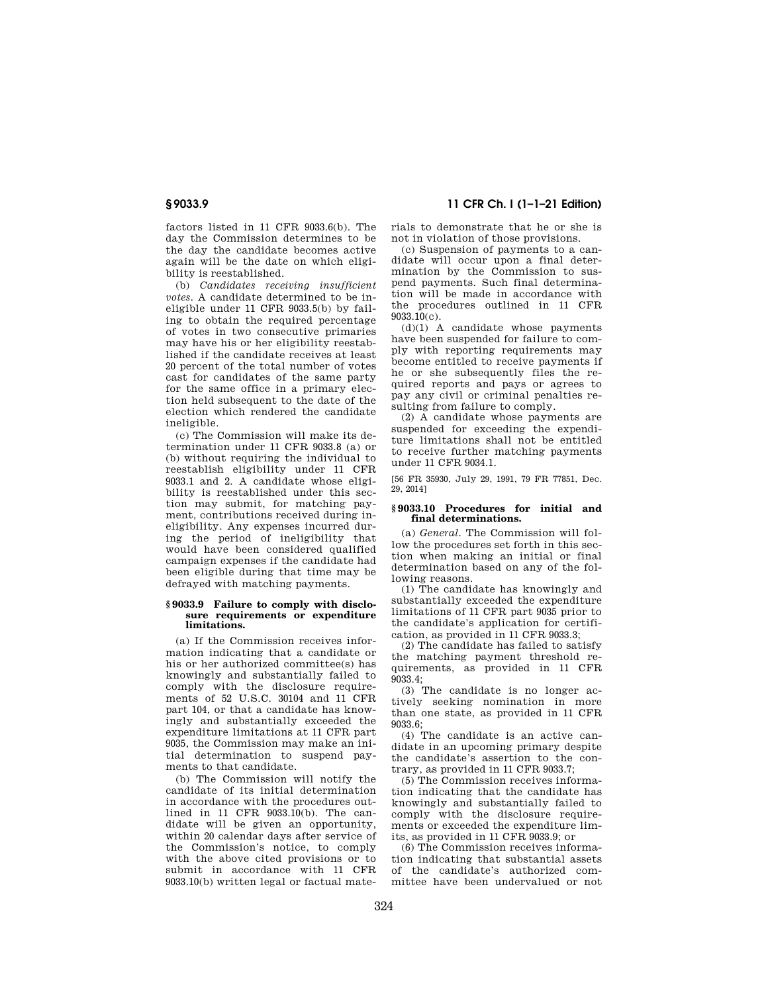factors listed in 11 CFR 9033.6(b). The day the Commission determines to be the day the candidate becomes active again will be the date on which eligibility is reestablished.

(b) *Candidates receiving insufficient votes.* A candidate determined to be ineligible under 11 CFR 9033.5(b) by failing to obtain the required percentage of votes in two consecutive primaries may have his or her eligibility reestablished if the candidate receives at least 20 percent of the total number of votes cast for candidates of the same party for the same office in a primary election held subsequent to the date of the election which rendered the candidate ineligible.

(c) The Commission will make its determination under 11 CFR 9033.8 (a) or (b) without requiring the individual to reestablish eligibility under 11 CFR 9033.1 and 2. A candidate whose eligibility is reestablished under this section may submit, for matching payment, contributions received during ineligibility. Any expenses incurred during the period of ineligibility that would have been considered qualified campaign expenses if the candidate had been eligible during that time may be defrayed with matching payments.

#### **§ 9033.9 Failure to comply with disclosure requirements or expenditure limitations.**

(a) If the Commission receives information indicating that a candidate or his or her authorized committee(s) has knowingly and substantially failed to comply with the disclosure requirements of 52 U.S.C. 30104 and 11 CFR part 104, or that a candidate has knowingly and substantially exceeded the expenditure limitations at 11 CFR part 9035, the Commission may make an initial determination to suspend payments to that candidate.

(b) The Commission will notify the candidate of its initial determination in accordance with the procedures outlined in 11 CFR 9033.10(b). The candidate will be given an opportunity, within 20 calendar days after service of the Commission's notice, to comply with the above cited provisions or to submit in accordance with 11 CFR 9033.10(b) written legal or factual mate-

# **§ 9033.9 11 CFR Ch. I (1–1–21 Edition)**

rials to demonstrate that he or she is not in violation of those provisions.

(c) Suspension of payments to a candidate will occur upon a final determination by the Commission to suspend payments. Such final determination will be made in accordance with the procedures outlined in 11 CFR 9033.10(c).

 $(d)(1)$  A candidate whose payments have been suspended for failure to comply with reporting requirements may become entitled to receive payments if he or she subsequently files the required reports and pays or agrees to pay any civil or criminal penalties resulting from failure to comply.

(2) A candidate whose payments are suspended for exceeding the expenditure limitations shall not be entitled to receive further matching payments under 11 CFR 9034.1.

[56 FR 35930, July 29, 1991, 79 FR 77851, Dec. 29, 2014]

#### **§ 9033.10 Procedures for initial and final determinations.**

(a) *General.* The Commission will follow the procedures set forth in this section when making an initial or final determination based on any of the following reasons.

(1) The candidate has knowingly and substantially exceeded the expenditure limitations of 11 CFR part 9035 prior to the candidate's application for certification, as provided in 11 CFR 9033.3;

(2) The candidate has failed to satisfy the matching payment threshold requirements, as provided in 11 CFR 9033.4;

(3) The candidate is no longer actively seeking nomination in more than one state, as provided in 11 CFR 9033.6;

(4) The candidate is an active candidate in an upcoming primary despite the candidate's assertion to the contrary, as provided in 11 CFR 9033.7;

(5) The Commission receives information indicating that the candidate has knowingly and substantially failed to comply with the disclosure requirements or exceeded the expenditure limits, as provided in 11 CFR 9033.9; or

(6) The Commission receives information indicating that substantial assets of the candidate's authorized committee have been undervalued or not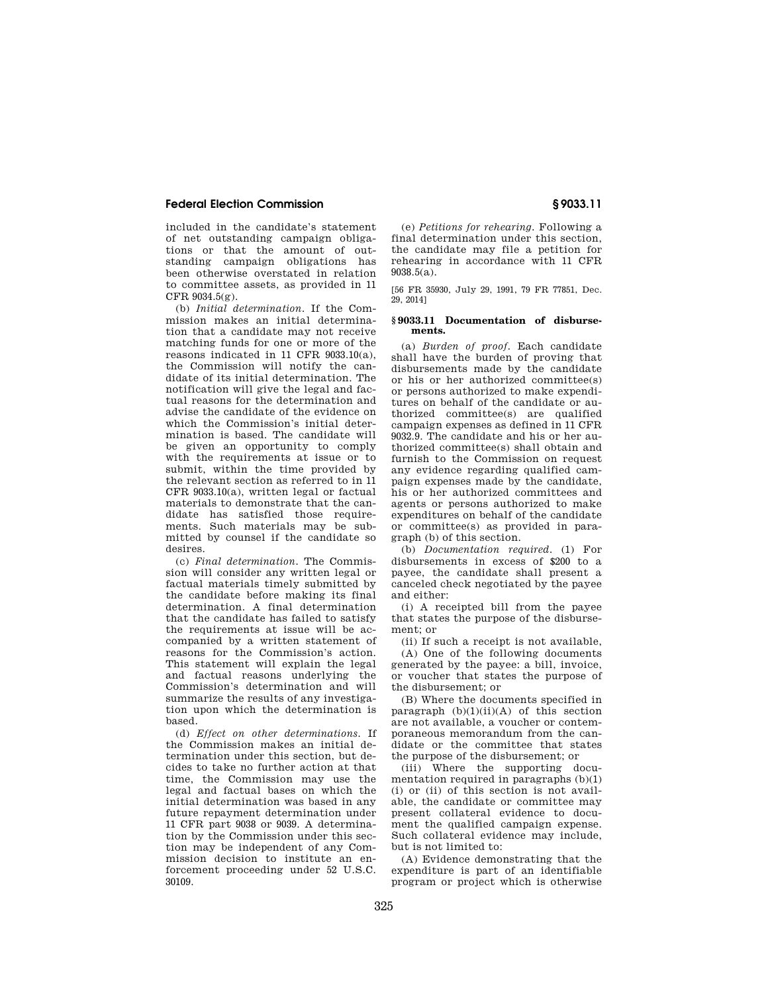included in the candidate's statement of net outstanding campaign obligations or that the amount of outstanding campaign obligations has been otherwise overstated in relation to committee assets, as provided in 11 CFR 9034.5(g).

(b) *Initial determination.* If the Commission makes an initial determination that a candidate may not receive matching funds for one or more of the reasons indicated in 11 CFR 9033.10(a), the Commission will notify the candidate of its initial determination. The notification will give the legal and factual reasons for the determination and advise the candidate of the evidence on which the Commission's initial determination is based. The candidate will be given an opportunity to comply with the requirements at issue or to submit, within the time provided by the relevant section as referred to in 11 CFR 9033.10(a), written legal or factual materials to demonstrate that the candidate has satisfied those requirements. Such materials may be submitted by counsel if the candidate so desires.

(c) *Final determination.* The Commission will consider any written legal or factual materials timely submitted by the candidate before making its final determination. A final determination that the candidate has failed to satisfy the requirements at issue will be accompanied by a written statement of reasons for the Commission's action. This statement will explain the legal and factual reasons underlying the Commission's determination and will summarize the results of any investigation upon which the determination is based.

(d) *Effect on other determinations.* If the Commission makes an initial determination under this section, but decides to take no further action at that time, the Commission may use the legal and factual bases on which the initial determination was based in any future repayment determination under 11 CFR part 9038 or 9039. A determination by the Commission under this section may be independent of any Commission decision to institute an enforcement proceeding under 52 U.S.C. 30109.

(e) *Petitions for rehearing.* Following a final determination under this section, the candidate may file a petition for rehearing in accordance with 11 CFR 9038.5(a).

[56 FR 35930, July 29, 1991, 79 FR 77851, Dec. 29, 2014]

#### **§ 9033.11 Documentation of disbursements.**

(a) *Burden of proof.* Each candidate shall have the burden of proving that disbursements made by the candidate or his or her authorized committee(s) or persons authorized to make expenditures on behalf of the candidate or authorized committee(s) are qualified campaign expenses as defined in 11 CFR 9032.9. The candidate and his or her authorized committee(s) shall obtain and furnish to the Commission on request any evidence regarding qualified campaign expenses made by the candidate, his or her authorized committees and agents or persons authorized to make expenditures on behalf of the candidate or committee(s) as provided in paragraph (b) of this section.

(b) *Documentation required.* (1) For disbursements in excess of \$200 to a payee, the candidate shall present a canceled check negotiated by the payee and either:

(i) A receipted bill from the payee that states the purpose of the disbursement; or

(ii) If such a receipt is not available, (A) One of the following documents generated by the payee: a bill, invoice, or voucher that states the purpose of the disbursement; or

(B) Where the documents specified in paragraph  $(b)(1)(ii)(A)$  of this section are not available, a voucher or contemporaneous memorandum from the candidate or the committee that states the purpose of the disbursement; or

(iii) Where the supporting documentation required in paragraphs (b)(1) (i) or (ii) of this section is not available, the candidate or committee may present collateral evidence to document the qualified campaign expense. Such collateral evidence may include, but is not limited to:

(A) Evidence demonstrating that the expenditure is part of an identifiable program or project which is otherwise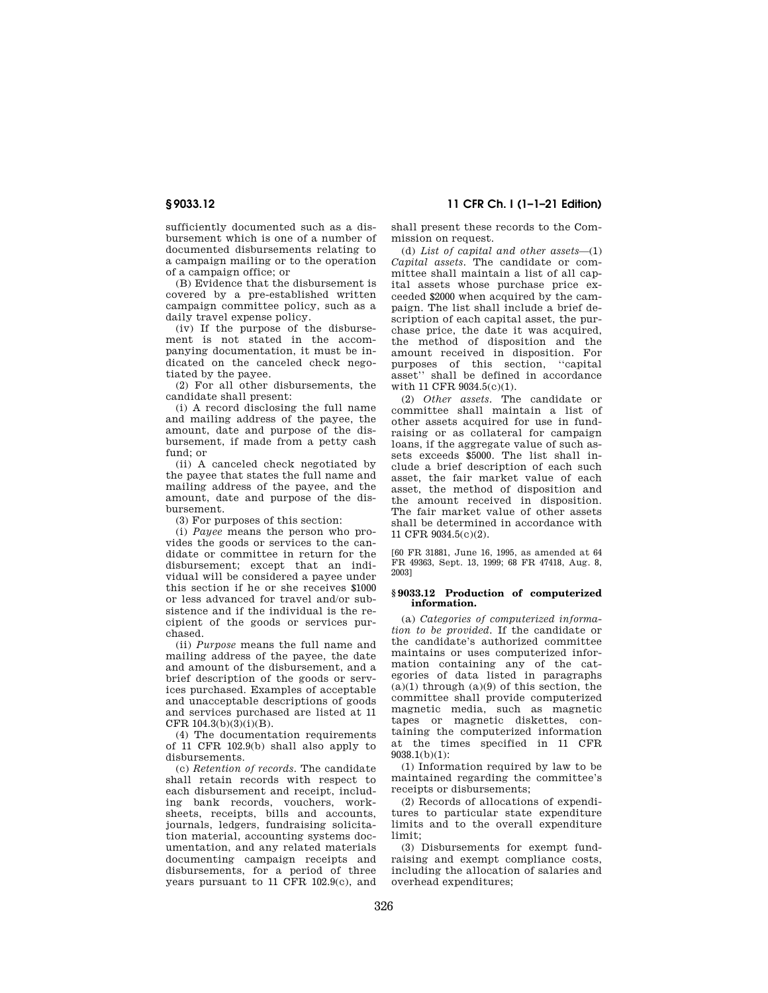sufficiently documented such as a disbursement which is one of a number of documented disbursements relating to a campaign mailing or to the operation of a campaign office; or

(B) Evidence that the disbursement is covered by a pre-established written campaign committee policy, such as a daily travel expense policy.

(iv) If the purpose of the disbursement is not stated in the accompanying documentation, it must be indicated on the canceled check negotiated by the payee.

(2) For all other disbursements, the candidate shall present:

(i) A record disclosing the full name and mailing address of the payee, the amount, date and purpose of the disbursement, if made from a petty cash fund; or

(ii) A canceled check negotiated by the payee that states the full name and mailing address of the payee, and the amount, date and purpose of the disbursement.

(3) For purposes of this section:

(i) *Payee* means the person who provides the goods or services to the candidate or committee in return for the disbursement; except that an individual will be considered a payee under this section if he or she receives \$1000 or less advanced for travel and/or subsistence and if the individual is the recipient of the goods or services purchased.

(ii) *Purpose* means the full name and mailing address of the payee, the date and amount of the disbursement, and a brief description of the goods or services purchased. Examples of acceptable and unacceptable descriptions of goods and services purchased are listed at 11 CFR 104.3(b)(3)(i)(B).

(4) The documentation requirements of 11 CFR 102.9(b) shall also apply to disbursements.

(c) *Retention of records.* The candidate shall retain records with respect to each disbursement and receipt, including bank records, vouchers, worksheets, receipts, bills and accounts, journals, ledgers, fundraising solicitation material, accounting systems documentation, and any related materials documenting campaign receipts and disbursements, for a period of three years pursuant to 11 CFR 102.9(c), and

**§ 9033.12 11 CFR Ch. I (1–1–21 Edition)** 

shall present these records to the Commission on request.

(d) *List of capital and other assets*—(1) *Capital assets.* The candidate or committee shall maintain a list of all capital assets whose purchase price exceeded \$2000 when acquired by the campaign. The list shall include a brief description of each capital asset, the purchase price, the date it was acquired, the method of disposition and the amount received in disposition. For purposes of this section, ''capital asset'' shall be defined in accordance with 11 CFR 9034.5(c)(1).

(2) *Other assets.* The candidate or committee shall maintain a list of other assets acquired for use in fundraising or as collateral for campaign loans, if the aggregate value of such assets exceeds \$5000. The list shall include a brief description of each such asset, the fair market value of each asset, the method of disposition and the amount received in disposition. The fair market value of other assets shall be determined in accordance with 11 CFR 9034.5(c)(2).

[60 FR 31881, June 16, 1995, as amended at 64 FR 49363, Sept. 13, 1999; 68 FR 47418, Aug. 8, 2003]

### **§ 9033.12 Production of computerized information.**

(a) *Categories of computerized information to be provided.* If the candidate or the candidate's authorized committee maintains or uses computerized information containing any of the categories of data listed in paragraphs  $(a)(1)$  through  $(a)(9)$  of this section, the committee shall provide computerized magnetic media, such as magnetic tapes or magnetic diskettes, containing the computerized information at the times specified in 11 CFR 9038.1(b)(1):

(1) Information required by law to be maintained regarding the committee's receipts or disbursements;

(2) Records of allocations of expenditures to particular state expenditure limits and to the overall expenditure limit;

(3) Disbursements for exempt fundraising and exempt compliance costs, including the allocation of salaries and overhead expenditures;